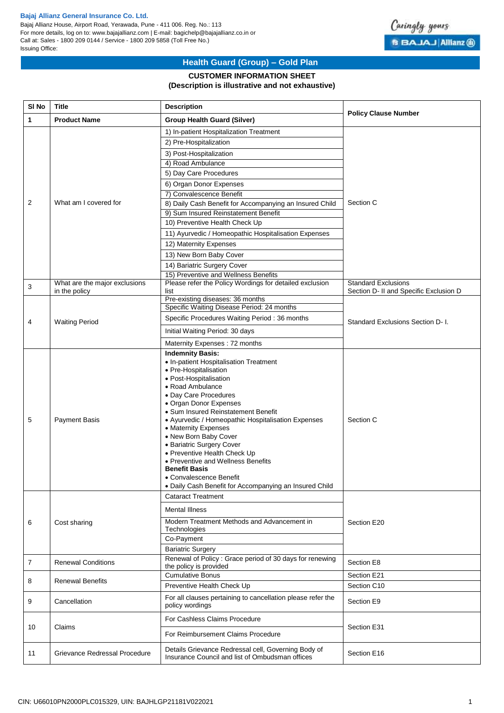### **Bajaj Allianz General Insurance Co. Ltd.**

Bajaj Allianz House, Airport Road, Yerawada, Pune - 411 006. Reg. No.: 113 For more details, log on to: www.bajajallianz.com | E-mail: bagichelp@bajajallianz.co.in or Call at: Sales - 1800 209 0144 / Service - 1800 209 5858 (Toll Free No.) Issuing Office:



# **Health Guard (Group) – Gold Plan**

## **CUSTOMER INFORMATION SHEET**

## **(Description is illustrative and not exhaustive)**

| SI <sub>No</sub> | <b>Title</b>                  | <b>Description</b>                                                                                                                                                                                                                                                                                                                                                                                                                                                                                                             |                                        |
|------------------|-------------------------------|--------------------------------------------------------------------------------------------------------------------------------------------------------------------------------------------------------------------------------------------------------------------------------------------------------------------------------------------------------------------------------------------------------------------------------------------------------------------------------------------------------------------------------|----------------------------------------|
| 1                | <b>Product Name</b>           | <b>Group Health Guard (Silver)</b>                                                                                                                                                                                                                                                                                                                                                                                                                                                                                             | <b>Policy Clause Number</b>            |
|                  | What am I covered for         | 1) In-patient Hospitalization Treatment                                                                                                                                                                                                                                                                                                                                                                                                                                                                                        |                                        |
|                  |                               | 2) Pre-Hospitalization                                                                                                                                                                                                                                                                                                                                                                                                                                                                                                         |                                        |
| 2                |                               | 3) Post-Hospitalization                                                                                                                                                                                                                                                                                                                                                                                                                                                                                                        | Section C                              |
|                  |                               | 4) Road Ambulance                                                                                                                                                                                                                                                                                                                                                                                                                                                                                                              |                                        |
|                  |                               | 5) Day Care Procedures                                                                                                                                                                                                                                                                                                                                                                                                                                                                                                         |                                        |
|                  |                               | 6) Organ Donor Expenses                                                                                                                                                                                                                                                                                                                                                                                                                                                                                                        |                                        |
|                  |                               | 7) Convalescence Benefit                                                                                                                                                                                                                                                                                                                                                                                                                                                                                                       |                                        |
|                  |                               | 8) Daily Cash Benefit for Accompanying an Insured Child                                                                                                                                                                                                                                                                                                                                                                                                                                                                        |                                        |
|                  |                               | 9) Sum Insured Reinstatement Benefit                                                                                                                                                                                                                                                                                                                                                                                                                                                                                           |                                        |
|                  |                               | 10) Preventive Health Check Up                                                                                                                                                                                                                                                                                                                                                                                                                                                                                                 |                                        |
|                  |                               | 11) Ayurvedic / Homeopathic Hospitalisation Expenses                                                                                                                                                                                                                                                                                                                                                                                                                                                                           |                                        |
|                  |                               | 12) Maternity Expenses                                                                                                                                                                                                                                                                                                                                                                                                                                                                                                         |                                        |
|                  |                               | 13) New Born Baby Cover                                                                                                                                                                                                                                                                                                                                                                                                                                                                                                        |                                        |
|                  |                               | 14) Bariatric Surgery Cover                                                                                                                                                                                                                                                                                                                                                                                                                                                                                                    |                                        |
|                  |                               | 15) Preventive and Wellness Benefits                                                                                                                                                                                                                                                                                                                                                                                                                                                                                           |                                        |
| 3                | What are the major exclusions | Please refer the Policy Wordings for detailed exclusion                                                                                                                                                                                                                                                                                                                                                                                                                                                                        | <b>Standard Exclusions</b>             |
|                  | in the policy                 | list<br>Pre-existing diseases: 36 months                                                                                                                                                                                                                                                                                                                                                                                                                                                                                       | Section D- II and Specific Exclusion D |
|                  |                               | Specific Waiting Disease Period: 24 months                                                                                                                                                                                                                                                                                                                                                                                                                                                                                     | Standard Exclusions Section D- I.      |
|                  |                               | Specific Procedures Waiting Period: 36 months                                                                                                                                                                                                                                                                                                                                                                                                                                                                                  |                                        |
| 4                | <b>Waiting Period</b>         | Initial Waiting Period: 30 days                                                                                                                                                                                                                                                                                                                                                                                                                                                                                                |                                        |
|                  |                               | Maternity Expenses: 72 months                                                                                                                                                                                                                                                                                                                                                                                                                                                                                                  |                                        |
|                  |                               | <b>Indemnity Basis:</b>                                                                                                                                                                                                                                                                                                                                                                                                                                                                                                        |                                        |
| 5                | <b>Payment Basis</b>          | • In-patient Hospitalisation Treatment<br>• Pre-Hospitalisation<br>• Post-Hospitalisation<br>• Road Ambulance<br>• Day Care Procedures<br>• Organ Donor Expenses<br>• Sum Insured Reinstatement Benefit<br>• Ayurvedic / Homeopathic Hospitalisation Expenses<br>• Maternity Expenses<br>• New Born Baby Cover<br>• Bariatric Surgery Cover<br>• Preventive Health Check Up<br>• Preventive and Wellness Benefits<br><b>Benefit Basis</b><br>• Convalescence Benefit<br>· Daily Cash Benefit for Accompanying an Insured Child | Section C                              |
|                  | Cost sharing                  | <b>Cataract Treatment</b>                                                                                                                                                                                                                                                                                                                                                                                                                                                                                                      | Section E20                            |
| 6                |                               | <b>Mental Illness</b>                                                                                                                                                                                                                                                                                                                                                                                                                                                                                                          |                                        |
|                  |                               | Modern Treatment Methods and Advancement in<br>Technologies<br>Co-Payment<br><b>Bariatric Surgery</b>                                                                                                                                                                                                                                                                                                                                                                                                                          |                                        |
| 7                | <b>Renewal Conditions</b>     | Renewal of Policy : Grace period of 30 days for renewing                                                                                                                                                                                                                                                                                                                                                                                                                                                                       | Section E8                             |
|                  |                               | the policy is provided<br><b>Cumulative Bonus</b>                                                                                                                                                                                                                                                                                                                                                                                                                                                                              |                                        |
| 8                | <b>Renewal Benefits</b>       | Preventive Health Check Up                                                                                                                                                                                                                                                                                                                                                                                                                                                                                                     | Section E21<br>Section C10             |
|                  |                               |                                                                                                                                                                                                                                                                                                                                                                                                                                                                                                                                |                                        |
| 9                | Cancellation                  | For all clauses pertaining to cancellation please refer the<br>policy wordings                                                                                                                                                                                                                                                                                                                                                                                                                                                 | Section E9                             |
| 10               | Claims                        | For Cashless Claims Procedure                                                                                                                                                                                                                                                                                                                                                                                                                                                                                                  | Section E31                            |
|                  |                               | For Reimbursement Claims Procedure                                                                                                                                                                                                                                                                                                                                                                                                                                                                                             |                                        |
| 11               | Grievance Redressal Procedure | Details Grievance Redressal cell, Governing Body of<br>Insurance Council and list of Ombudsman offices                                                                                                                                                                                                                                                                                                                                                                                                                         | Section E16                            |